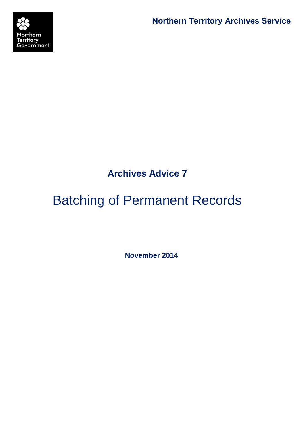Northern Territory<br>Government **Northern Territory Archives Service**

# **Archives Advice 7**

# Batching of Permanent Records

**November 2014**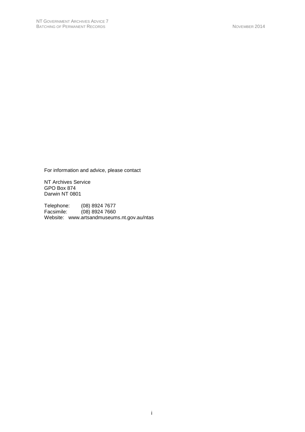For information and advice, please contact

NT Archives Service GPO Box 874 Darwin NT 0801

Telephone: (08) 8924 7677 Facsimile: (08) 8924 7660 Website: www.artsandmuseums.nt.gov.au/ntas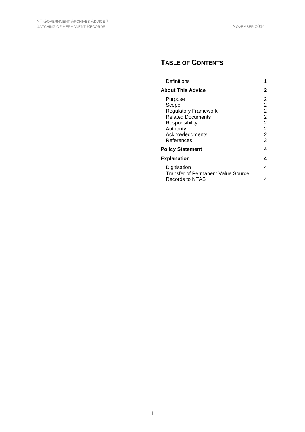# **TABLE OF CONTENTS**

| Definitions                                                                                                                                 | 1                                                                                                     |
|---------------------------------------------------------------------------------------------------------------------------------------------|-------------------------------------------------------------------------------------------------------|
| <b>About This Advice</b>                                                                                                                    | 2                                                                                                     |
| Purpose<br>Scope<br><b>Regulatory Framework</b><br><b>Related Documents</b><br>Responsibility<br>Authority<br>Acknowledgments<br>References | 2<br>$\overline{2}$<br>$\overline{2}$<br>2<br>$\overline{2}$<br>$\overline{2}$<br>$\overline{2}$<br>3 |
| <b>Policy Statement</b>                                                                                                                     | 4                                                                                                     |
| <b>Explanation</b>                                                                                                                          | 4                                                                                                     |
| Digitisation<br><b>Transfer of Permanent Value Source</b>                                                                                   | 4                                                                                                     |
| <b>Records to NTAS</b>                                                                                                                      | 4                                                                                                     |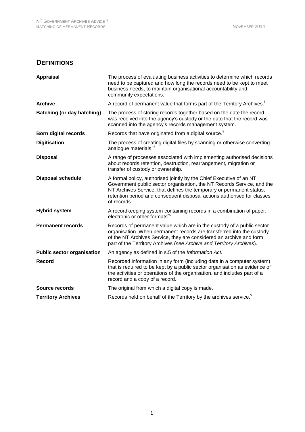# **DEFINITIONS**

| <b>Appraisal</b>                  | The process of evaluating business activities to determine which records<br>need to be captured and how long the records need to be kept to meet<br>business needs, to maintain organisational accountability and<br>community expectations.                                                                    |
|-----------------------------------|-----------------------------------------------------------------------------------------------------------------------------------------------------------------------------------------------------------------------------------------------------------------------------------------------------------------|
| <b>Archive</b>                    | A record of permanent value that forms part of the Territory Archives.                                                                                                                                                                                                                                          |
| <b>Batching (or day batching)</b> | The process of storing records together based on the date the record<br>was received into the agency's custody or the date that the record was<br>scanned into the agency's records management system.                                                                                                          |
| <b>Born digital records</b>       | Records that have originated from a digital source."                                                                                                                                                                                                                                                            |
| <b>Digitisation</b>               | The process of creating digital files by scanning or otherwise converting<br>analogue materials."                                                                                                                                                                                                               |
| <b>Disposal</b>                   | A range of processes associated with implementing authorised decisions<br>about records retention, destruction, rearrangement, migration or<br>transfer of custody or ownership.                                                                                                                                |
| <b>Disposal schedule</b>          | A formal policy, authorised jointly by the Chief Executive of an NT<br>Government public sector organisation, the NT Records Service, and the<br>NT Archives Service, that defines the temporary or permanent status,<br>retention period and consequent disposal actions authorised for classes<br>of records. |
| <b>Hybrid system</b>              | A recordkeeping system containing records in a combination of paper,<br>electronic or other formats <sup>iv.</sup>                                                                                                                                                                                              |
| <b>Permanent records</b>          | Records of permanent value which are in the custody of a public sector<br>organisation. When permanent records are transferred into the custody<br>of the NT Archives Service, they are considered an archive and form<br>part of the Territory Archives (see Archive and Territory Archives).                  |
| <b>Public sector organisation</b> | An agency as defined in s.5 of the <i>Information Act.</i>                                                                                                                                                                                                                                                      |
| Record                            | Recorded information in any form (including data in a computer system)<br>that is required to be kept by a public sector organisation as evidence of<br>the activities or operations of the organisation, and includes part of a<br>record and a copy of a record.                                              |
| Source records                    | The original from which a digital copy is made.                                                                                                                                                                                                                                                                 |
| <b>Territory Archives</b>         | Records held on behalf of the Territory by the archives service.                                                                                                                                                                                                                                                |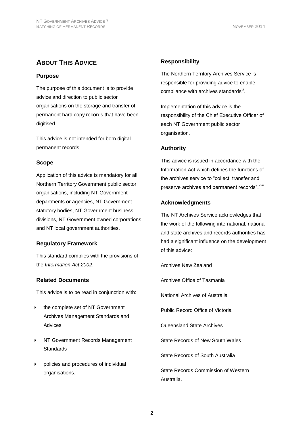## **ABOUT THIS ADVICE**

#### **Purpose**

The purpose of this document is to provide advice and direction to public sector organisations on the storage and transfer of permanent hard copy records that have been digitised.

This advice is not intended for born digital permanent records.

#### **Scope**

Application of this advice is mandatory for all Northern Territory Government public sector organisations, including NT Government departments or agencies, NT Government statutory bodies, NT Government business divisions, NT Government owned corporations and NT local government authorities.

#### **Regulatory Framework**

This standard complies with the provisions of the *Information Act 2002*.

#### **Related Documents**

This advice is to be read in conjunction with:

- the complete set of NT Government Archives Management Standards and Advices
- NT Government Records Management **Standards**
- policies and procedures of individual organisations.

#### **Responsibility**

The Northern Territory Archives Service is responsible for providing advice to enable compliance with archives standards<sup>vi</sup>.

Implementation of this advice is the responsibility of the Chief Executive Officer of each NT Government public sector organisation.

#### **Authority**

This advice is issued in accordance with the Information Act which defines the functions of the archives service to "collect, transfer and preserve archives and permanent records"."Vil

#### **Acknowledgments**

The NT Archives Service acknowledges that the work of the following international, national and state archives and records authorities has had a significant influence on the development of this advice:

Archives New Zealand Archives Office of Tasmania National Archives of Australia Public Record Office of Victoria Queensland State Archives State Records of New South Wales State Records of South Australia State Records Commission of Western Australia.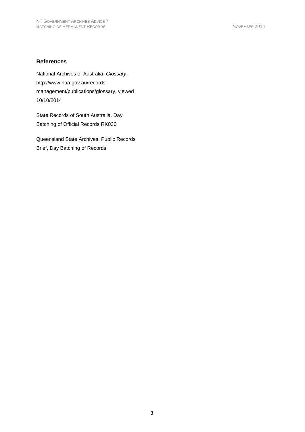#### **References**

National Archives of Australia, *Glossary*, [http://www.naa.gov.au/records](http://www.naa.gov.au/records-management/publications/glossary)[management/publications/glossary,](http://www.naa.gov.au/records-management/publications/glossary) viewed 10/10/2014

State Records of South Australia, Day Batching of Official Records RK030

Queensland State Archives, Public Records Brief, Day Batching of Records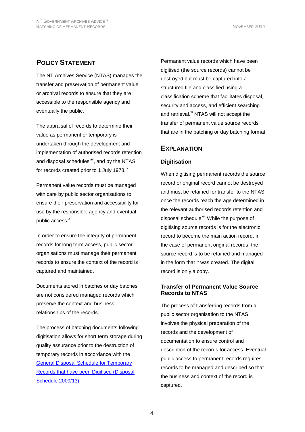### **POLICY STATEMENT**

The NT Archives Service (NTAS) manages the transfer and preservation of permanent value or archival records to ensure that they are accessible to the responsible agency and eventually the public.

The appraisal of records to determine their value as permanent or temporary is undertaken through the development and implementation of authorised records retention and disposal schedules<sup>viii</sup>, and by the NTAS for records created prior to 1 July 1978.<sup>ix</sup>

Permanent value records must be managed with care by public sector organisations to ensure their preservation and accessibility for use by the responsible agency and eventual public access.<sup>x</sup>

In order to ensure the integrity of permanent records for long term access, public sector organisations must manage their permanent records to ensure the context of the record is captured and maintained.

Documents stored in batches or day batches are not considered managed records which preserve the context and business relationships of the records.

The process of batching documents following digitisation allows for short term storage during quality assurance prior to the destruction of temporary records in accordance with the [General Disposal Schedule for Temporary](http://www.artsandmuseums.nt.gov.au/__data/assets/pdf_file/0011/14411/temporary_records_digitised.pdf)  [Records that have been Digitised \(Disposal](http://www.artsandmuseums.nt.gov.au/__data/assets/pdf_file/0011/14411/temporary_records_digitised.pdf)  [Schedule 2009/13\)](http://www.artsandmuseums.nt.gov.au/__data/assets/pdf_file/0011/14411/temporary_records_digitised.pdf)

Permanent value records which have been digitised (the source records) cannot be destroyed but must be captured into a structured file and classified using a classification scheme that facilitates disposal, security and access, and efficient searching and retrieval.<sup>xi</sup> NTAS will not accept the transfer of permanent value source records that are in the batching or day batching format.

#### **EXPLANATION**

#### **Digitisation**

When digitising permanent records the source record or original record cannot be destroyed and must be retained for transfer to the NTAS once the records reach the age determined in the relevant authorised records retention and disposal schedule<sup>xii.</sup> While the purpose of digitising source records is for the electronic record to become the main action record, in the case of permanent original records, the source record is to be retained and managed in the form that it was created. The digital record is only a copy.

#### **Transfer of Permanent Value Source Records to NTAS**

The process of transferring records from a public sector organisation to the NTAS involves the physical preparation of the records and the development of documentation to ensure control and description of the records for access. Eventual public access to permanent records requires records to be managed and described so that the business and context of the record is captured.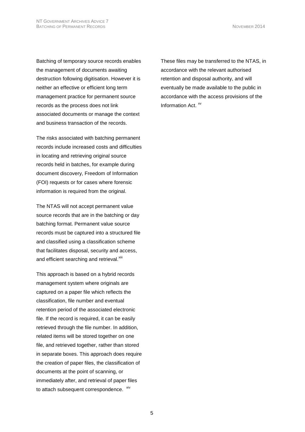Batching of temporary source records enables the management of documents awaiting destruction following digitisation. However it is neither an effective or efficient long term management practice for permanent source records as the process does not link associated documents or manage the context and business transaction of the records.

The risks associated with batching permanent records include increased costs and difficulties in locating and retrieving original source records held in batches, for example during document discovery, Freedom of Information (FOI) requests or for cases where forensic information is required from the original.

The NTAS will not accept permanent value source records that are in the batching or day batching format. Permanent value source records must be captured into a structured file and classified using a classification scheme that facilitates disposal, security and access, and efficient searching and retrieval.<sup>xiii</sup>

This approach is based on a hybrid records management system where originals are captured on a paper file which reflects the classification, file number and eventual retention period of the associated electronic file. If the record is required, it can be easily retrieved through the file number. In addition, related items will be stored together on one file, and retrieved together, rather than stored in separate boxes. This approach does require the creation of paper files, the classification of documents at the point of scanning, or immediately after, and retrieval of paper files to attach subsequent correspondence. xiv

These files may be transferred to the NTAS, in accordance with the relevant authorised retention and disposal authority, and will eventually be made available to the public in accordance with the access provisions of the Information Act. xv